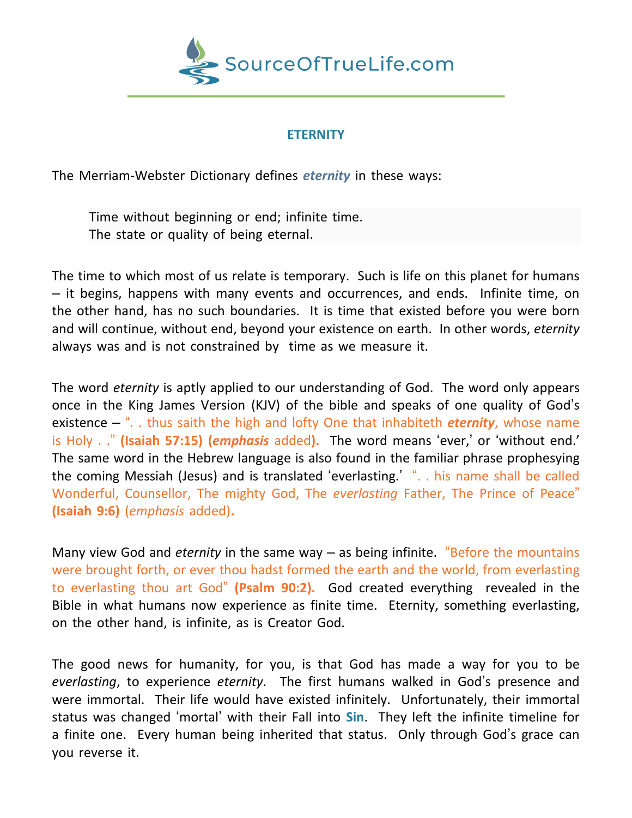

## **ETERNITY**

The Merriam-Webster Dictionary defines *eternity* in these ways:

Time without beginning or end; infinite time. The state or quality of being eternal.

The time to which most of us relate is temporary. Such is life on this planet for humans – it begins, happens with many events and occurrences, and ends. Infinite time, on the other hand, has no such boundaries. It is time that existed before you were born and will continue, without end, beyond your existence on earth. In other words, *eternity* always was and is not constrained by time as we measure it.

The word *eternity* is aptly applied to our understanding of God. The word only appears once in the King James Version (KJV) of the bible and speaks of one quality of God's existence – ". . thus saith the high and lofty One that inhabiteth *eternity*, whose name is Holy . ." **(Isaiah 57:15) (***emphasis* added**).** The word means 'ever,' or 'without end.' The same word in the Hebrew language is also found in the familiar phrase prophesying the coming Messiah (Jesus) and is translated 'everlasting.' ". . his name shall be called Wonderful, Counsellor, The mighty God, The *everlasting* Father, The Prince of Peace" **(Isaiah 9:6)** (*emphasis* added)**.**

Many view God and *eternity* in the same way – as being infinite. "Before the mountains were brought forth, or ever thou hadst formed the earth and the world, from everlasting to everlasting thou art God" **(Psalm 90:2).** God created everything revealed in the Bible in what humans now experience as finite time. Eternity, something everlasting, on the other hand, is infinite, as is Creator God.

The good news for humanity, for you, is that God has made a way for you to be *everlasting*, to experience *eternity*. The first humans walked in God's presence and were immortal. Their life would have existed infinitely. Unfortunately, their immortal status was changed 'mortal' with their Fall into **Sin**. They left the infinite timeline for a finite one. Every human being inherited that status. Only through God's grace can you reverse it.